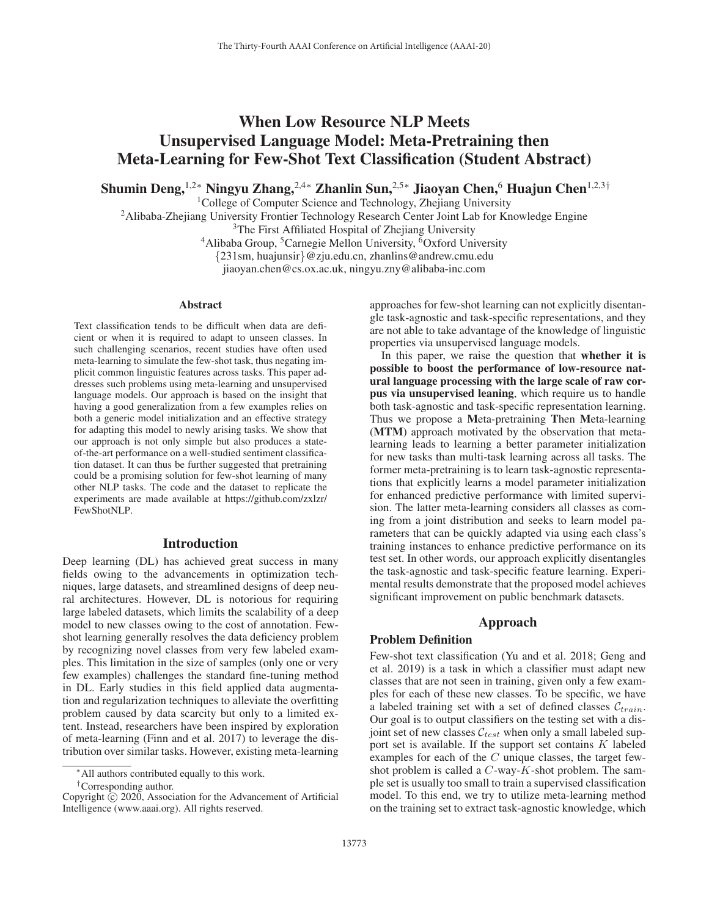# When Low Resource NLP Meets Unsupervised Language Model: Meta-Pretraining then Meta-Learning for Few-Shot Text Classification (Student Abstract)

Shumin Deng,<sup>1,2</sup>\* Ningyu Zhang,<sup>2,4</sup>\* Zhanlin Sun,<sup>2,5</sup>\* Jiaoyan Chen,<sup>6</sup> Huajun Chen<sup>1,2,3†</sup>

<sup>1</sup>College of Computer Science and Technology, Zhejiang University

<sup>2</sup>Alibaba-Zhejiang University Frontier Technology Research Center Joint Lab for Knowledge Engine <sup>3</sup>The First Affiliated Hospital of Zhejiang University <sup>4</sup>Alibaba Group, <sup>5</sup>Carnegie Mellon University, <sup>6</sup>Oxford University {231sm, huajunsir}@zju.edu.cn, zhanlins@andrew.cmu.edu

jiaoyan.chen@cs.ox.ac.uk, ningyu.zny@alibaba-inc.com

#### Abstract

Text classification tends to be difficult when data are deficient or when it is required to adapt to unseen classes. In such challenging scenarios, recent studies have often used meta-learning to simulate the few-shot task, thus negating implicit common linguistic features across tasks. This paper addresses such problems using meta-learning and unsupervised language models. Our approach is based on the insight that having a good generalization from a few examples relies on both a generic model initialization and an effective strategy for adapting this model to newly arising tasks. We show that our approach is not only simple but also produces a stateof-the-art performance on a well-studied sentiment classification dataset. It can thus be further suggested that pretraining could be a promising solution for few-shot learning of many other NLP tasks. The code and the dataset to replicate the experiments are made available at https://github.com/zxlzr/ FewShotNLP.

#### Introduction

Deep learning (DL) has achieved great success in many fields owing to the advancements in optimization techniques, large datasets, and streamlined designs of deep neural architectures. However, DL is notorious for requiring large labeled datasets, which limits the scalability of a deep model to new classes owing to the cost of annotation. Fewshot learning generally resolves the data deficiency problem by recognizing novel classes from very few labeled examples. This limitation in the size of samples (only one or very few examples) challenges the standard fine-tuning method in DL. Early studies in this field applied data augmentation and regularization techniques to alleviate the overfitting problem caused by data scarcity but only to a limited extent. Instead, researchers have been inspired by exploration of meta-learning (Finn and et al. 2017) to leverage the distribution over similar tasks. However, existing meta-learning

approaches for few-shot learning can not explicitly disentangle task-agnostic and task-specific representations, and they are not able to take advantage of the knowledge of linguistic properties via unsupervised language models.

In this paper, we raise the question that whether it is possible to boost the performance of low-resource natural language processing with the large scale of raw corpus via unsupervised leaning, which require us to handle both task-agnostic and task-specific representation learning. Thus we propose a Meta-pretraining Then Meta-learning (MTM) approach motivated by the observation that metalearning leads to learning a better parameter initialization for new tasks than multi-task learning across all tasks. The former meta-pretraining is to learn task-agnostic representations that explicitly learns a model parameter initialization for enhanced predictive performance with limited supervision. The latter meta-learning considers all classes as coming from a joint distribution and seeks to learn model parameters that can be quickly adapted via using each class's training instances to enhance predictive performance on its test set. In other words, our approach explicitly disentangles the task-agnostic and task-specific feature learning. Experimental results demonstrate that the proposed model achieves significant improvement on public benchmark datasets.

# Approach

## Problem Definition

Few-shot text classification (Yu and et al. 2018; Geng and et al. 2019) is a task in which a classifier must adapt new classes that are not seen in training, given only a few examples for each of these new classes. To be specific, we have a labeled training set with a set of defined classes  $\mathcal{C}_{train}$ . Our goal is to output classifiers on the testing set with a disjoint set of new classes  $C_{test}$  when only a small labeled support set is available. If the support set contains  $K$  labeled examples for each of the C unique classes, the target fewshot problem is called a  $C$ -way- $K$ -shot problem. The sample set is usually too small to train a supervised classification model. To this end, we try to utilize meta-learning method on the training set to extract task-agnostic knowledge, which

<sup>∗</sup>All authors contributed equally to this work.

<sup>†</sup>Corresponding author.

Copyright  $\odot$  2020, Association for the Advancement of Artificial Intelligence (www.aaai.org). All rights reserved.